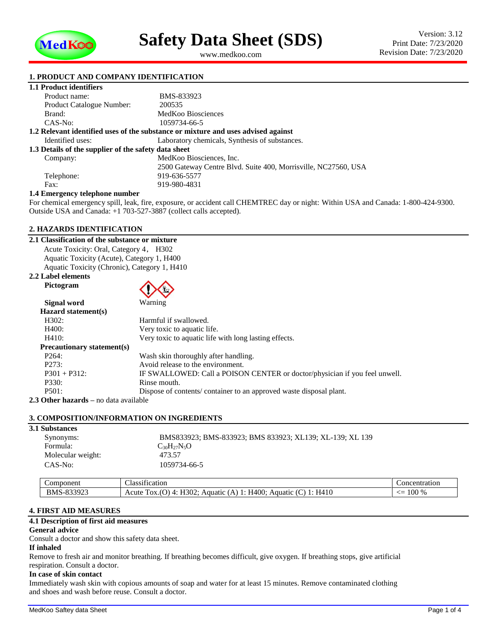

<span id="page-0-1"></span><span id="page-0-0"></span>www.medkoo.com

## **1. PRODUCT AND COMPANY IDENTIFICATION**

|  | 1.1 Product identifiers |
|--|-------------------------|
|  |                         |

| Product name:                                        | BMS-833923                                                                        |
|------------------------------------------------------|-----------------------------------------------------------------------------------|
| <b>Product Catalogue Number:</b>                     | 200535                                                                            |
| Brand:                                               | MedKoo Biosciences                                                                |
| CAS-No:                                              | 1059734-66-5                                                                      |
|                                                      | 1.2 Relevant identified uses of the substance or mixture and uses advised against |
| Identified uses:                                     | Laboratory chemicals, Synthesis of substances.                                    |
| 1.3 Details of the supplier of the safety data sheet |                                                                                   |
| Company:                                             | MedKoo Biosciences, Inc.                                                          |
|                                                      | 2500 Gateway Centre Blvd. Suite 400, Morrisville, NC27560, USA                    |
| Telephone:                                           | 919-636-5577                                                                      |
| Fax:                                                 | 919-980-4831                                                                      |
| $\mathbf{r}$ , and the set of $\mathbf{r}$           |                                                                                   |

#### **1.4 Emergency telephone number**

For chemical emergency spill, leak, fire, exposure, or accident call CHEMTREC day or night: Within USA and Canada: 1-800-424-9300. Outside USA and Canada: +1 703-527-3887 (collect calls accepted).

#### **2. HAZARDS IDENTIFICATION**

## **2.1 Classification of the substance or mixture**

Acute Toxicity: Oral, Category 4, H302 Aquatic Toxicity (Acute), Category 1, H400 Aquatic Toxicity (Chronic), Category 1, H410

#### **2.2 Label elements Pictogram**



| Signal word                             | Warning                                                                    |
|-----------------------------------------|----------------------------------------------------------------------------|
| Hazard statement(s)                     |                                                                            |
| H302:                                   | Harmful if swallowed.                                                      |
| H400:                                   | Very toxic to aquatic life.                                                |
| H410:                                   | Very toxic to aquatic life with long lasting effects.                      |
| <b>Precautionary statement(s)</b>       |                                                                            |
| P <sub>264</sub> :                      | Wash skin thoroughly after handling.                                       |
| P273:                                   | Avoid release to the environment.                                          |
| $P301 + P312$ :                         | IF SWALLOWED: Call a POISON CENTER or doctor/physician if you feel unwell. |
| P330:                                   | Rinse mouth.                                                               |
| P501:                                   | Dispose of contents/ container to an approved waste disposal plant.        |
| <u> Athor hozorde un doto ovoiloblo</u> |                                                                            |

**2.3 Other hazards –** no data available

#### **3. COMPOSITION/INFORMATION ON INGREDIENTS**

| <b>3.1 Substances</b> |                                                          |
|-----------------------|----------------------------------------------------------|
| Synonyms:             | BMS833923; BMS-833923; BMS 833923; XL139; XL-139; XL 139 |
| Formula:              | $C_{30}H_{27}N_5O$                                       |
| Molecular weight:     | 473.57                                                   |
| $CAS-No:$             | 1059734-66-5                                             |
|                       |                                                          |

| oonen1<br>omr                       | . .<br>$\sim$<br>111cation<br>…lasc                                                                | icentration<br>ำnเ                                  |
|-------------------------------------|----------------------------------------------------------------------------------------------------|-----------------------------------------------------|
| <b>BMS</b><br>02202<br>, <u>, ,</u> | H <sub>410</sub><br>TTQQ<br>⌒<br>$.00^{\circ}$<br>Acute<br>Aquatic<br>TOX.<br>ΗД<br>Aquatic<br>30. | 100<br>$\Omega$<br>--<br>$\mathcal{A}$<br>$\lambda$ |

## **4. FIRST AID MEASURES**

## **4.1 Description of first aid measures**

## **General advice**

Consult a doctor and show this safety data sheet.

## **If inhaled**

Remove to fresh air and monitor breathing. If breathing becomes difficult, give oxygen. If breathing stops, give artificial respiration. Consult a doctor.

## **In case of skin contact**

Immediately wash skin with copious amounts of soap and water for at least 15 minutes. Remove contaminated clothing and shoes and wash before reuse. Consult a doctor.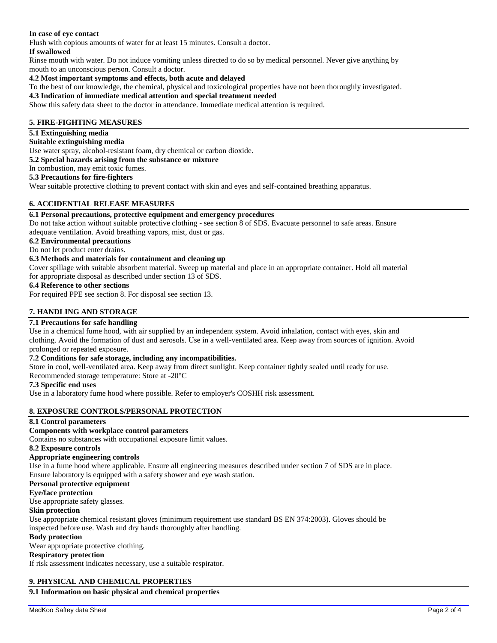## **In case of eye contact**

Flush with copious amounts of water for at least 15 minutes. Consult a doctor.

#### **If swallowed**

Rinse mouth with water. Do not induce vomiting unless directed to do so by medical personnel. Never give anything by mouth to an unconscious person. Consult a doctor.

#### **4.2 Most important symptoms and effects, both acute and delayed**

To the best of our knowledge, the chemical, physical and toxicological properties have not been thoroughly investigated.

#### **4.3 Indication of immediate medical attention and special treatment needed**

Show this safety data sheet to the doctor in attendance. Immediate medical attention is required.

### **5. FIRE-FIGHTING MEASURES**

#### **5.1 Extinguishing media**

#### **Suitable extinguishing media**

Use water spray, alcohol-resistant foam, dry chemical or carbon dioxide.

**5.2 Special hazards arising from the substance or mixture**

In combustion, may emit toxic fumes.

#### **5.3 Precautions for fire-fighters**

Wear suitable protective clothing to prevent contact with skin and eyes and self-contained breathing apparatus.

#### **6. ACCIDENTIAL RELEASE MEASURES**

## **6.1 Personal precautions, protective equipment and emergency procedures**

Do not take action without suitable protective clothing - see section 8 of SDS. Evacuate personnel to safe areas. Ensure adequate ventilation. Avoid breathing vapors, mist, dust or gas.

#### **6.2 Environmental precautions**

#### Do not let product enter drains.

#### **6.3 Methods and materials for containment and cleaning up**

Cover spillage with suitable absorbent material. Sweep up material and place in an appropriate container. Hold all material for appropriate disposal as described under section 13 of SDS.

#### **6.4 Reference to other sections**

For required PPE see section 8. For disposal see section 13.

#### **7. HANDLING AND STORAGE**

## **7.1 Precautions for safe handling**

Use in a chemical fume hood, with air supplied by an independent system. Avoid inhalation, contact with eyes, skin and clothing. Avoid the formation of dust and aerosols. Use in a well-ventilated area. Keep away from sources of ignition. Avoid prolonged or repeated exposure.

#### **7.2 Conditions for safe storage, including any incompatibilities.**

Store in cool, well-ventilated area. Keep away from direct sunlight. Keep container tightly sealed until ready for use. Recommended storage temperature: Store at -20°C

#### **7.3 Specific end uses**

Use in a laboratory fume hood where possible. Refer to employer's COSHH risk assessment.

#### **8. EXPOSURE CONTROLS/PERSONAL PROTECTION**

#### **8.1 Control parameters**

## **Components with workplace control parameters**

Contains no substances with occupational exposure limit values.

## **8.2 Exposure controls**

## **Appropriate engineering controls**

Use in a fume hood where applicable. Ensure all engineering measures described under section 7 of SDS are in place. Ensure laboratory is equipped with a safety shower and eye wash station.

## **Personal protective equipment**

## **Eye/face protection**

Use appropriate safety glasses.

## **Skin protection**

Use appropriate chemical resistant gloves (minimum requirement use standard BS EN 374:2003). Gloves should be inspected before use. Wash and dry hands thoroughly after handling.

## **Body protection**

Wear appropriate protective clothing.

## **Respiratory protection**

If risk assessment indicates necessary, use a suitable respirator.

## **9. PHYSICAL AND CHEMICAL PROPERTIES**

## **9.1 Information on basic physical and chemical properties**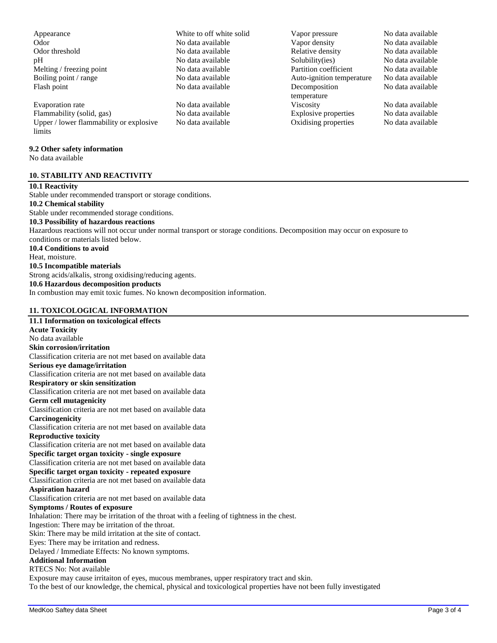| <b>Symptoms / Routes of exposure</b>                                                        |
|---------------------------------------------------------------------------------------------|
| Inhalation: There may be irritation of the throat with a feeling of tightness in the chest. |
| Ingestion: There may be irritation of the throat.                                           |
| Skin: There may be mild irritation at the site of contact.                                  |
| Eyes: There may be irritation and redness.                                                  |
| Delaved / Immediate Effects: No known symptoms.                                             |

known symptoms. **Additional Information**

## RTECS No: Not available

Exposure may cause irritaiton of eyes, mucous membranes, upper respiratory tract and skin.

To the best of our knowledge, the chemical, physical and toxicological properties have not been fully investigated

Evaporation rate 1988 and 2008 No data available<br>
Evaporation rate 1988 No data available<br>
No data available<br>
No data available<br>
No data available<br>
No data available<br>
No data available<br>
No data available<br>
No data available Flammability (solid, gas) No data available Explosive properties No data available Upper / lower flammability or explosive limits

#### **9.2 Other safety information**

No data available

## **10. STABILITY AND REACTIVITY**

#### **10.1 Reactivity**

**Acute Toxicity** No data available **Skin corrosion/irritation**

Stable under recommended transport or storage conditions. **10.2 Chemical stability** Stable under recommended storage conditions. **10.3 Possibility of hazardous reactions** Hazardous reactions will not occur under normal transport or storage conditions. Decomposition may occur on exposure to conditions or materials listed below. **10.4 Conditions to avoid** Heat, moisture. **10.5 Incompatible materials** Strong acids/alkalis, strong oxidising/reducing agents. **10.6 Hazardous decomposition products** In combustion may emit toxic fumes. No known decomposition information.

## **11. TOXICOLOGICAL INFORMATION 11.1 Information on toxicological effects**

**Serious eye damage/irritation**

**Germ cell mutagenicity**

**Reproductive toxicity**

**Aspiration hazard**

**Carcinogenicity**

**Respiratory or skin sensitization**

Classification criteria are not met based on available data

Classification criteria are not met based on available data

Classification criteria are not met based on available data

Classification criteria are not met based on available data

Classification criteria are not met based on available data

Classification criteria are not met based on available data **Specific target organ toxicity - single exposure** Classification criteria are not met based on available data **Specific target organ toxicity - repeated exposure** Classification criteria are not met based on available data

Classification criteria are not met based on available data

# Appearance a metal white to off white solid vapor pressure No data available Flash point The No data available Decomposition

Odor **No data available** No data available Vapor density No data available No data available Odor threshold No data available No data available Relative density No data available pH No data available Solubility(ies) No data available Melting / freezing point No data available No data available Partition coefficient No data available Boiling point / range No data available Auto-ignition temperature No data available temperature No data available Oxidising properties No data available

No data available